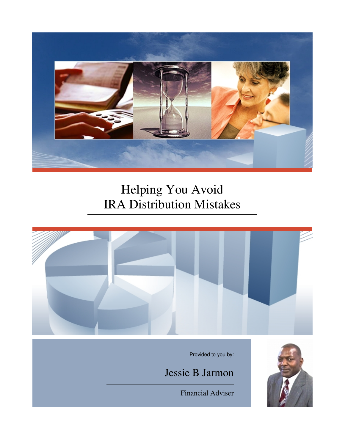

# Helping You Avoid IRA Distribution Mistakes



Provided to you by:

Jessie B Jarmon

Financial Adviser

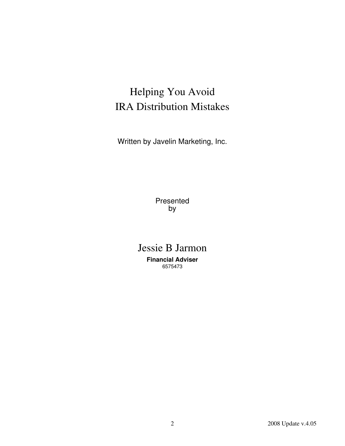## Helping You Avoid IRA Distribution Mistakes

Written by Javelin Marketing, Inc.

Presented by

## Jessie B Jarmon **Financial Adviser** 6575473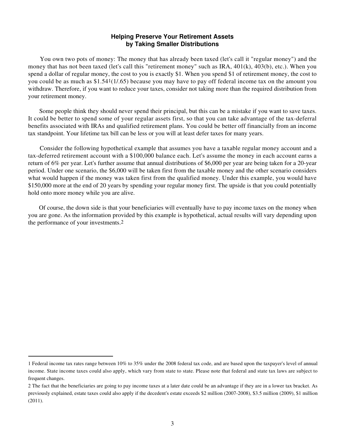#### **Helping Preserve Your Retirement Assets by Taking Smaller Distributions**

 You own two pots of money: The money that has already been taxed (let's call it "regular money") and the money that has not been taxed (let's call this "retirement money" such as IRA, 401(k), 403(b), etc.). When you spend a dollar of regular money, the cost to you is exactly \$1. When you spend \$1 of retirement money, the cost to you could be as much as \$1.541(1/.65) because you may have to pay off federal income tax on the amount you withdraw. Therefore, if you want to reduce your taxes, consider not taking more than the required distribution from your retirement money.

 Some people think they should never spend their principal, but this can be a mistake if you want to save taxes. It could be better to spend some of your regular assets first, so that you can take advantage of the tax-deferral benefits associated with IRAs and qualified retirement plans. You could be better off financially from an income tax standpoint. Your lifetime tax bill can be less or you will at least defer taxes for many years.

 Consider the following hypothetical example that assumes you have a taxable regular money account and a tax-deferred retirement account with a \$100,000 balance each. Let's assume the money in each account earns a return of 6% per year. Let's further assume that annual distributions of \$6,000 per year are being taken for a 20-year period. Under one scenario, the \$6,000 will be taken first from the taxable money and the other scenario considers what would happen if the money was taken first from the qualified money. Under this example, you would have \$150,000 more at the end of 20 years by spending your regular money first. The upside is that you could potentially hold onto more money while you are alive.

 Of course, the down side is that your beneficiaries will eventually have to pay income taxes on the money when you are gone. As the information provided by this example is hypothetical, actual results will vary depending upon the performance of your investments.2

<sup>1</sup> Federal income tax rates range between 10% to 35% under the 2008 federal tax code, and are based upon the taxpayer's level of annual income. State income taxes could also apply, which vary from state to state. Please note that federal and state tax laws are subject to frequent changes.

<sup>2</sup> The fact that the beneficiaries are going to pay income taxes at a later date could be an advantage if they are in a lower tax bracket. As previously explained, estate taxes could also apply if the decedent's estate exceeds \$2 million (2007-2008), \$3.5 million (2009), \$1 million (2011).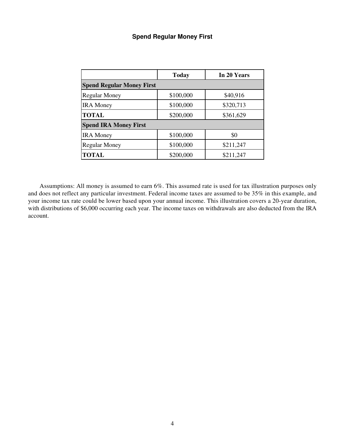## **Spend Regular Money First**

|                                  | <b>Today</b> | In 20 Years |  |
|----------------------------------|--------------|-------------|--|
| <b>Spend Regular Money First</b> |              |             |  |
| <b>Regular Money</b>             | \$100,000    | \$40,916    |  |
| <b>IRA</b> Money                 | \$100,000    | \$320,713   |  |
| <b>TOTAL</b>                     | \$200,000    | \$361,629   |  |
| <b>Spend IRA Money First</b>     |              |             |  |
| <b>IRA</b> Money                 | \$100,000    | \$0         |  |
| <b>Regular Money</b>             | \$100,000    | \$211,247   |  |
| <b>TOTAL</b>                     | \$200,000    | \$211,247   |  |

 Assumptions: All money is assumed to earn 6%. This assumed rate is used for tax illustration purposes only and does not reflect any particular investment. Federal income taxes are assumed to be 35% in this example, and your income tax rate could be lower based upon your annual income. This illustration covers a 20-year duration, with distributions of \$6,000 occurring each year. The income taxes on withdrawals are also deducted from the IRA account.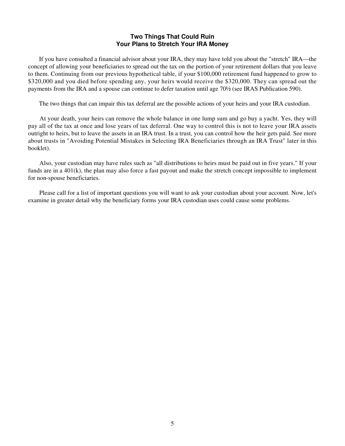#### **Two Things That Could Ruin Your Plans to Stretch Your IRA Money**

 If you have consulted a financial advisor about your IRA, they may have told you about the "stretch" IRA—the concept of allowing your beneficiaries to spread out the tax on the portion of your retirement dollars that you leave to them. Continuing from our previous hypothetical table, if your \$100,000 retirement fund happened to grow to \$320,000 and you died before spending any, your heirs would receive the \$320,000. They can spread out the payments from the IRA and a spouse can continue to defer taxation until age 70½ (see IRAS Publication 590).

The two things that can impair this tax deferral are the possible actions of your heirs and your IRA custodian.

 At your death, your heirs can remove the whole balance in one lump sum and go buy a yacht. Yes, they will pay all of the tax at once and lose years of tax deferral. One way to control this is not to leave your IRA assets outright to heirs, but to leave the assets in an IRA trust. In a trust, you can control how the heir gets paid. See more about trusts in "Avoiding Potential Mistakes in Selecting IRA Beneficiaries through an IRA Trust" later in this booklet).

 Also, your custodian may have rules such as "all distributions to heirs must be paid out in five years." If your funds are in a  $401(k)$ , the plan may also force a fast payout and make the stretch concept impossible to implement for non-spouse beneficiaries.

 Please call for a list of important questions you will want to ask your custodian about your account. Now, let's examine in greater detail why the beneficiary forms your IRA custodian uses could cause some problems.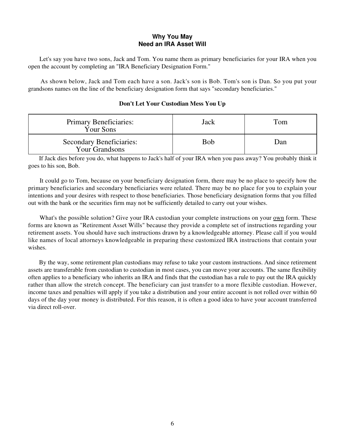#### **Why You May Need an IRA Asset Will**

 Let's say you have two sons, Jack and Tom. You name them as primary beneficiaries for your IRA when you open the account by completing an "IRA Beneficiary Designation Form."

 As shown below, Jack and Tom each have a son. Jack's son is Bob. Tom's son is Dan. So you put your grandsons names on the line of the beneficiary designation form that says "secondary beneficiaries."

#### **Don't Let Your Custodian Mess You Up**

| <b>Primary Beneficiaries:</b><br>Your Sons        | Jack | Tom |
|---------------------------------------------------|------|-----|
| <b>Secondary Beneficiaries:</b><br>Your Grandsons | Bob  | Dan |

 If Jack dies before you do, what happens to Jack's half of your IRA when you pass away? You probably think it goes to his son, Bob.

 It could go to Tom, because on your beneficiary designation form, there may be no place to specify how the primary beneficiaries and secondary beneficiaries were related. There may be no place for you to explain your intentions and your desires with respect to those beneficiaries. Those beneficiary designation forms that you filled out with the bank or the securities firm may not be sufficiently detailed to carry out your wishes.

What's the possible solution? Give your IRA custodian your complete instructions on your <u>own</u> form. These forms are known as "Retirement Asset Wills" because they provide a complete set of instructions regarding your retirement assets. You should have such instructions drawn by a knowledgeable attorney. Please call if you would like names of local attorneys knowledgeable in preparing these customized IRA instructions that contain your wishes.

 By the way, some retirement plan custodians may refuse to take your custom instructions. And since retirement assets are transferable from custodian to custodian in most cases, you can move your accounts. The same flexibility often applies to a beneficiary who inherits an IRA and finds that the custodian has a rule to pay out the IRA quickly rather than allow the stretch concept. The beneficiary can just transfer to a more flexible custodian. However, income taxes and penalties will apply if you take a distribution and your entire account is not rolled over within 60 days of the day your money is distributed. For this reason, it is often a good idea to have your account transferred via direct roll-over.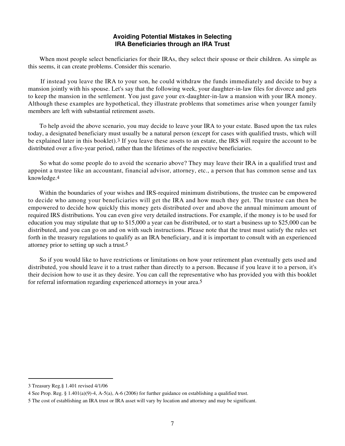#### **Avoiding Potential Mistakes in Selecting IRA Beneficiaries through an IRA Trust**

 When most people select beneficiaries for their IRAs, they select their spouse or their children. As simple as this seems, it can create problems. Consider this scenario.

 If instead you leave the IRA to your son, he could withdraw the funds immediately and decide to buy a mansion jointly with his spouse. Let's say that the following week, your daughter-in-law files for divorce and gets to keep the mansion in the settlement. You just gave your ex-daughter-in-law a mansion with your IRA money. Although these examples are hypothetical, they illustrate problems that sometimes arise when younger family members are left with substantial retirement assets.

 To help avoid the above scenario, you may decide to leave your IRA to your estate. Based upon the tax rules today, a designated beneficiary must usually be a natural person (except for cases with qualified trusts, which will be explained later in this booklet).3 If you leave these assets to an estate, the IRS will require the account to be distributed over a five-year period, rather than the lifetimes of the respective beneficiaries.

 So what do some people do to avoid the scenario above? They may leave their IRA in a qualified trust and appoint a trustee like an accountant, financial advisor, attorney, etc., a person that has common sense and tax knowledge.4

 Within the boundaries of your wishes and IRS-required minimum distributions, the trustee can be empowered to decide who among your beneficiaries will get the IRA and how much they get. The trustee can then be empowered to decide how quickly this money gets distributed over and above the annual minimum amount of required IRS distributions. You can even give very detailed instructions. For example, if the money is to be used for education you may stipulate that up to \$15,000 a year can be distributed, or to start a business up to \$25,000 can be distributed, and you can go on and on with such instructions. Please note that the trust must satisfy the rules set forth in the treasury regulations to qualify as an IRA beneficiary, and it is important to consult with an experienced attorney prior to setting up such a trust.5

 So if you would like to have restrictions or limitations on how your retirement plan eventually gets used and distributed, you should leave it to a trust rather than directly to a person. Because if you leave it to a person, it's their decision how to use it as they desire. You can call the representative who has provided you with this booklet for referral information regarding experienced attorneys in your area.5

<sup>3</sup> Treasury Reg.§ 1.401 revised 4/1/06

<sup>4</sup> See Prop. Reg. § 1.401(a)(9)-4, A-5(a), A-6 (2006) for further guidance on establishing a qualified trust.

<sup>5</sup> The cost of establishing an IRA trust or IRA asset will vary by location and attorney and may be significant.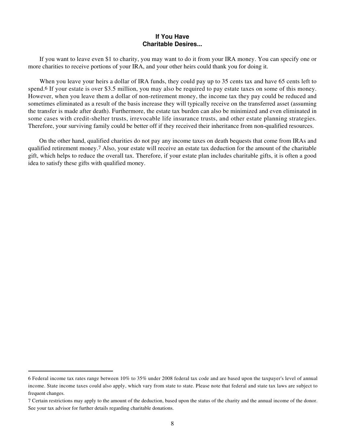#### **If You Have Charitable Desires...**

 If you want to leave even \$1 to charity, you may want to do it from your IRA money. You can specify one or more charities to receive portions of your IRA, and your other heirs could thank you for doing it.

When you leave your heirs a dollar of IRA funds, they could pay up to 35 cents tax and have 65 cents left to spend.6 If your estate is over \$3.5 million, you may also be required to pay estate taxes on some of this money. However, when you leave them a dollar of non-retirement money, the income tax they pay could be reduced and sometimes eliminated as a result of the basis increase they will typically receive on the transferred asset (assuming the transfer is made after death). Furthermore, the estate tax burden can also be minimized and even eliminated in some cases with credit-shelter trusts, irrevocable life insurance trusts, and other estate planning strategies. Therefore, your surviving family could be better off if they received their inheritance from non-qualified resources.

 On the other hand, qualified charities do not pay any income taxes on death bequests that come from IRAs and qualified retirement money.7 Also, your estate will receive an estate tax deduction for the amount of the charitable gift, which helps to reduce the overall tax. Therefore, if your estate plan includes charitable gifts, it is often a good idea to satisfy these gifts with qualified money.

<sup>6</sup> Federal income tax rates range between 10% to 35% under 2008 federal tax code and are based upon the taxpayer's level of annual income. State income taxes could also apply, which vary from state to state. Please note that federal and state tax laws are subject to frequent changes.

<sup>7</sup> Certain restrictions may apply to the amount of the deduction, based upon the status of the charity and the annual income of the donor. See your tax advisor for further details regarding charitable donations.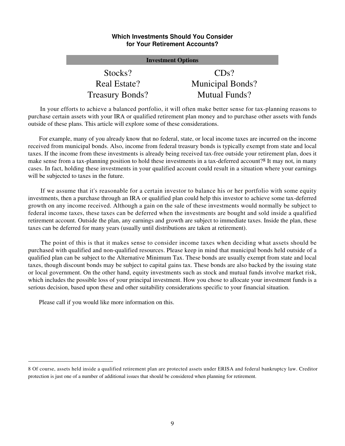#### **Which Investments Should You Consider for Your Retirement Accounts?**

| <b>Investment Options</b> |                         |  |  |
|---------------------------|-------------------------|--|--|
| Stocks?                   | $CDs$ ?                 |  |  |
| Real Estate?              | <b>Municipal Bonds?</b> |  |  |
| <b>Treasury Bonds?</b>    | <b>Mutual Funds?</b>    |  |  |

 In your efforts to achieve a balanced portfolio, it will often make better sense for tax-planning reasons to purchase certain assets with your IRA or qualified retirement plan money and to purchase other assets with funds outside of these plans. This article will explore some of these considerations.

 For example, many of you already know that no federal, state, or local income taxes are incurred on the income received from municipal bonds. Also, income from federal treasury bonds is typically exempt from state and local taxes. If the income from these investments is already being received tax-free outside your retirement plan, does it make sense from a tax-planning position to hold these investments in a tax-deferred account?8 It may not, in many cases. In fact, holding these investments in your qualified account could result in a situation where your earnings will be subjected to taxes in the future.

 If we assume that it's reasonable for a certain investor to balance his or her portfolio with some equity investments, then a purchase through an IRA or qualified plan could help this investor to achieve some tax-deferred growth on any income received. Although a gain on the sale of these investments would normally be subject to federal income taxes, these taxes can be deferred when the investments are bought and sold inside a qualified retirement account. Outside the plan, any earnings and growth are subject to immediate taxes. Inside the plan, these taxes can be deferred for many years (usually until distributions are taken at retirement).

 The point of this is that it makes sense to consider income taxes when deciding what assets should be purchased with qualified and non-qualified resources. Please keep in mind that municipal bonds held outside of a qualified plan can be subject to the Alternative Minimum Tax. These bonds are usually exempt from state and local taxes, though discount bonds may be subject to capital gains tax. These bonds are also backed by the issuing state or local government. On the other hand, equity investments such as stock and mutual funds involve market risk, which includes the possible loss of your principal investment. How you chose to allocate your investment funds is a serious decision, based upon these and other suitability considerations specific to your financial situation.

Please call if you would like more information on this.

<sup>8</sup> Of course, assets held inside a qualified retirement plan are protected assets under ERISA and federal bankruptcy law. Creditor protection is just one of a number of additional issues that should be considered when planning for retirement.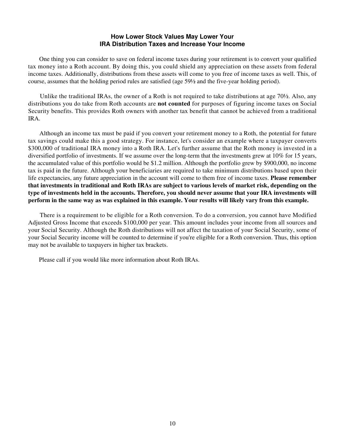#### **How Lower Stock Values May Lower Your IRA Distribution Taxes and Increase Your Income**

 One thing you can consider to save on federal income taxes during your retirement is to convert your qualified tax money into a Roth account. By doing this, you could shield any appreciation on these assets from federal income taxes. Additionally, distributions from these assets will come to you free of income taxes as well. This, of course, assumes that the holding period rules are satisfied (age 59½ and the five-year holding period).

 Unlike the traditional IRAs, the owner of a Roth is not required to take distributions at age 70½. Also, any distributions you do take from Roth accounts are **not counted** for purposes of figuring income taxes on Social Security benefits. This provides Roth owners with another tax benefit that cannot be achieved from a traditional IRA.

 Although an income tax must be paid if you convert your retirement money to a Roth, the potential for future tax savings could make this a good strategy. For instance, let's consider an example where a taxpayer converts \$300,000 of traditional IRA money into a Roth IRA. Let's further assume that the Roth money is invested in a diversified portfolio of investments. If we assume over the long-term that the investments grew at 10% for 15 years, the accumulated value of this portfolio would be \$1.2 million. Although the portfolio grew by \$900,000, no income tax is paid in the future. Although your beneficiaries are required to take minimum distributions based upon their life expectancies, any future appreciation in the account will come to them free of income taxes. **Please remember that investments in traditional and Roth IRAs are subject to various levels of market risk, depending on the type of investments held in the accounts. Therefore, you should never assume that your IRA investments will perform in the same way as was explained in this example. Your results will likely vary from this example.**

 There is a requirement to be eligible for a Roth conversion. To do a conversion, you cannot have Modified Adjusted Gross Income that exceeds \$100,000 per year. This amount includes your income from all sources and your Social Security. Although the Roth distributions will not affect the taxation of your Social Security, some of your Social Security income will be counted to determine if you're eligible for a Roth conversion. Thus, this option may not be available to taxpayers in higher tax brackets.

Please call if you would like more information about Roth IRAs.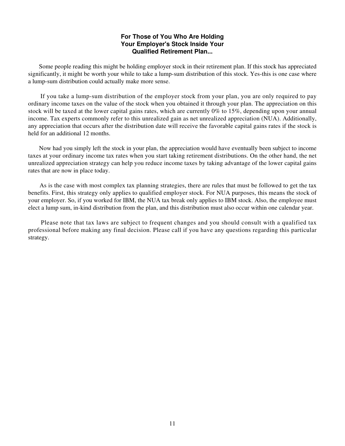#### **For Those of You Who Are Holding Your Employer's Stock Inside Your Qualified Retirement Plan...**

 Some people reading this might be holding employer stock in their retirement plan. If this stock has appreciated significantly, it might be worth your while to take a lump-sum distribution of this stock. Yes-this is one case where a lump-sum distribution could actually make more sense.

 If you take a lump-sum distribution of the employer stock from your plan, you are only required to pay ordinary income taxes on the value of the stock when you obtained it through your plan. The appreciation on this stock will be taxed at the lower capital gains rates, which are currently 0% to 15%, depending upon your annual income. Tax experts commonly refer to this unrealized gain as net unrealized appreciation (NUA). Additionally, any appreciation that occurs after the distribution date will receive the favorable capital gains rates if the stock is held for an additional 12 months.

 Now had you simply left the stock in your plan, the appreciation would have eventually been subject to income taxes at your ordinary income tax rates when you start taking retirement distributions. On the other hand, the net unrealized appreciation strategy can help you reduce income taxes by taking advantage of the lower capital gains rates that are now in place today.

 As is the case with most complex tax planning strategies, there are rules that must be followed to get the tax benefits. First, this strategy only applies to qualified employer stock. For NUA purposes, this means the stock of your employer. So, if you worked for IBM, the NUA tax break only applies to IBM stock. Also, the employee must elect a lump sum, in-kind distribution from the plan, and this distribution must also occur within one calendar year.

 Please note that tax laws are subject to frequent changes and you should consult with a qualified tax professional before making any final decision. Please call if you have any questions regarding this particular strategy.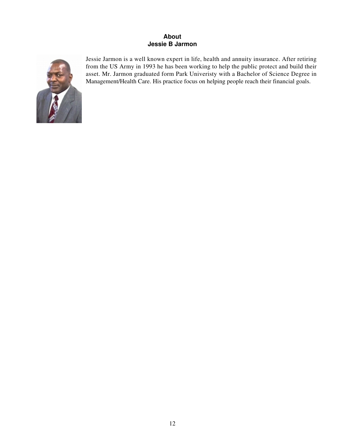### **About Jessie B Jarmon**



Jessie Jarmon is a well known expert in life, health and annuity insurance. After retiring from the US Army in 1993 he has been working to help the public protect and build their asset. Mr. Jarmon graduated form Park Univeristy with a Bachelor of Science Degree in Management/Health Care. His practice focus on helping people reach their financial goals.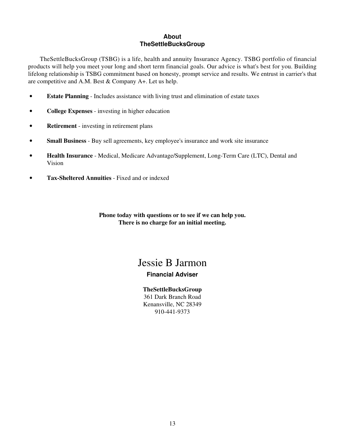#### **About TheSettleBucksGroup**

 TheSettleBucksGroup (TSBG) is a life, health and annuity Insurance Agency. TSBG portfolio of financial products will help you meet your long and short term financial goals. Our advice is what's best for you. Building lifelong relationship is TSBG commitment based on honesty, prompt service and results. We entrust in carrier's that are competitive and A.M. Best & Company A+. Let us help.

- **Estate Planning** Includes assistance with living trust and elimination of estate taxes
- **College Expenses** investing in higher education
- **Retirement** investing in retirement plans
- **Small Business** Buy sell agreements, key employee's insurance and work site insurance
- **Health Insurance** Medical, Medicare Advantage/Supplement, Long-Term Care (LTC), Dental and Vision
- **Tax-Sheltered Annuities** Fixed and or indexed

**Phone today with questions or to see if we can help you. There is no charge for an initial meeting.**

## Jessie B Jarmon

## **Financial Adviser**

**TheSettleBucksGroup** 361 Dark Branch Road Kenansville, NC 28349 910-441-9373